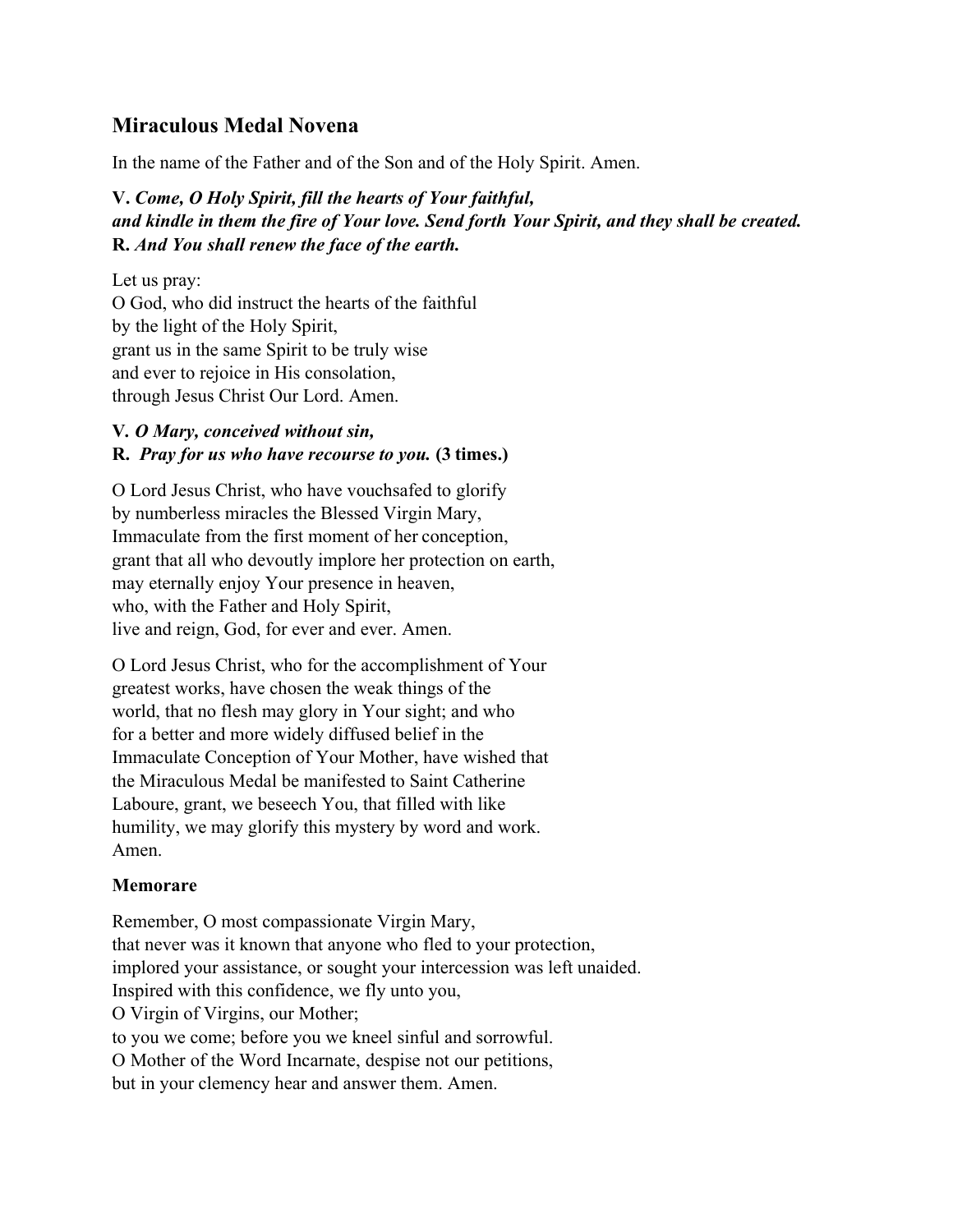# **Miraculous Medal Novena**

In the name of the Father and of the Son and of the Holy Spirit. Amen.

## **V.** *Come, O Holy Spirit, fill the hearts of Your faithful, and kindle in them the fire of Your love. Send forth Your Spirit, and they shall be created.* **R.** *And You shall renew the face of the earth.*

Let us pray:

O God, who did instruct the hearts of the faithful by the light of the Holy Spirit, grant us in the same Spirit to be truly wise and ever to rejoice in His consolation, through Jesus Christ Our Lord. Amen.

### **V***. O Mary, conceived without sin,* **R.** *Pray for us who have recourse to you.* **(3 times.)**

O Lord Jesus Christ, who have vouchsafed to glorify by numberless miracles the Blessed Virgin Mary, Immaculate from the first moment of her conception, grant that all who devoutly implore her protection on earth, may eternally enjoy Your presence in heaven, who, with the Father and Holy Spirit, live and reign, God, for ever and ever. Amen.

O Lord Jesus Christ, who for the accomplishment of Your greatest works, have chosen the weak things of the world, that no flesh may glory in Your sight; and who for a better and more widely diffused belief in the Immaculate Conception of Your Mother, have wished that the Miraculous Medal be manifested to Saint Catherine Laboure, grant, we beseech You, that filled with like humility, we may glorify this mystery by word and work. Amen.

### **Memorare**

Remember, O most compassionate Virgin Mary, that never was it known that anyone who fled to your protection, implored your assistance, or sought your intercession was left unaided. Inspired with this confidence, we fly unto you, O Virgin of Virgins, our Mother; to you we come; before you we kneel sinful and sorrowful. O Mother of the Word Incarnate, despise not our petitions, but in your clemency hear and answer them. Amen.